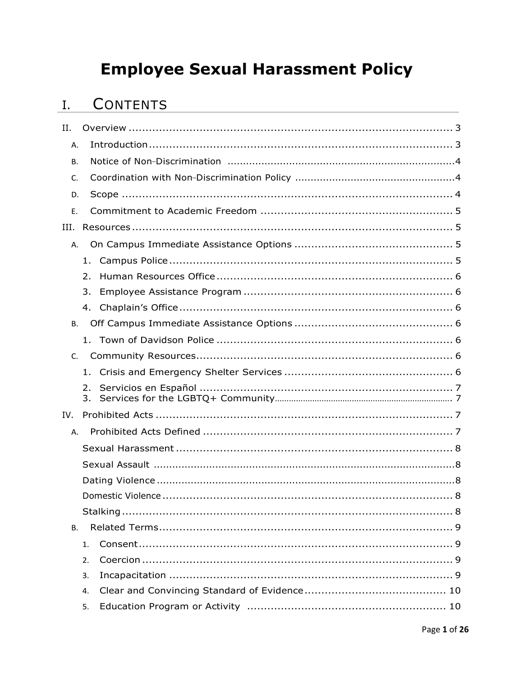# **Employee Sexual Harassment Policy**

# I. CONTENTS

| II.       |          |  |
|-----------|----------|--|
| Α.        |          |  |
| В.        |          |  |
| C.        |          |  |
| D.        |          |  |
| Ε.        |          |  |
| III.      |          |  |
| A.        |          |  |
|           | 1.       |  |
|           | 2.       |  |
|           | 3.       |  |
|           | 4.       |  |
| В.        |          |  |
|           |          |  |
| $C_{1}$   |          |  |
|           | $1_{-}$  |  |
|           | 2.<br>3. |  |
| IV.       |          |  |
| Α.        |          |  |
|           |          |  |
|           |          |  |
|           |          |  |
|           |          |  |
|           |          |  |
| <b>B.</b> |          |  |
|           | 1.       |  |
|           | 2.       |  |
|           | 3.       |  |
|           | 4.       |  |
|           | 5.       |  |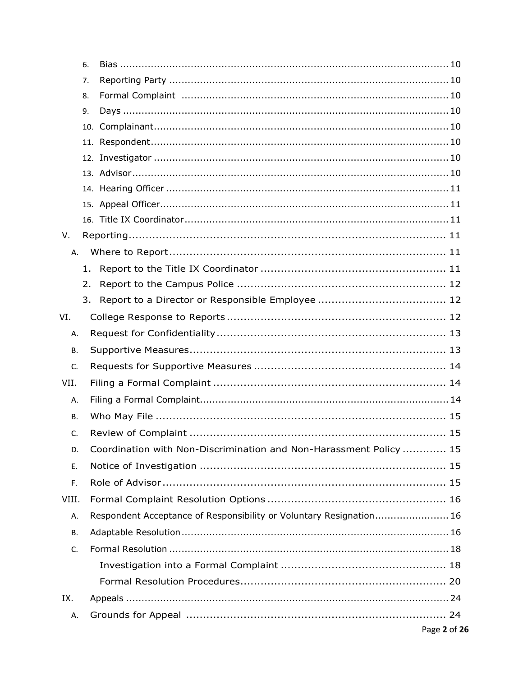|           | 6.  |                                                                     |
|-----------|-----|---------------------------------------------------------------------|
|           | 7.  |                                                                     |
|           | 8.  |                                                                     |
|           | 9.  |                                                                     |
|           |     |                                                                     |
|           | 11. |                                                                     |
|           | 12. |                                                                     |
|           |     |                                                                     |
|           |     |                                                                     |
|           |     |                                                                     |
|           |     |                                                                     |
| V.        |     |                                                                     |
| А.        |     |                                                                     |
|           | 1.  |                                                                     |
|           | 2.  |                                                                     |
|           | 3.  |                                                                     |
| VI.       |     |                                                                     |
| А.        |     |                                                                     |
| В.        |     |                                                                     |
| C.        |     |                                                                     |
| VII.      |     |                                                                     |
| Α.        |     |                                                                     |
| <b>B.</b> |     |                                                                     |
| C.        |     |                                                                     |
| D.        |     | Coordination with Non-Discrimination and Non-Harassment Policy  15  |
| Е.        |     |                                                                     |
| F.        |     |                                                                     |
| VIII.     |     |                                                                     |
| А.        |     | Respondent Acceptance of Responsibility or Voluntary Resignation 16 |
| В.        |     |                                                                     |
| C.        |     |                                                                     |
|           |     |                                                                     |
|           |     |                                                                     |
|           |     |                                                                     |
| IX.       |     |                                                                     |
| А.        |     |                                                                     |
|           |     | Page 2 of 26                                                        |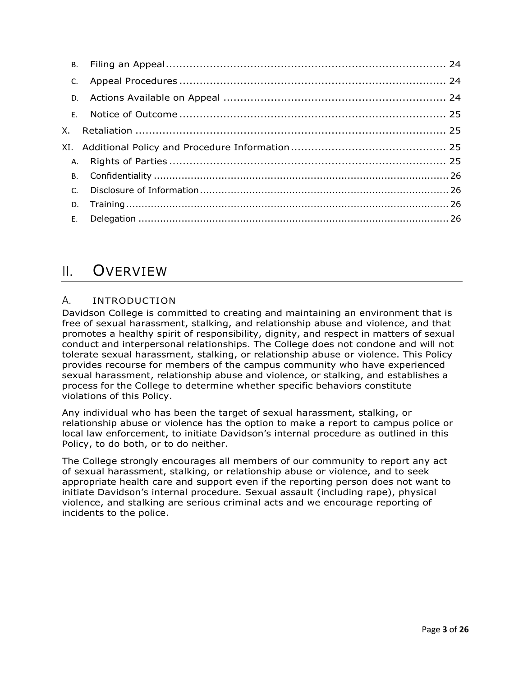### <span id="page-2-0"></span>II. OVERVIEW

### <span id="page-2-1"></span>A. INTRODUCTION

 Davidson College is committed to creating and maintaining an environment that is free of sexual harassment, stalking, and relationship abuse and violence, and that promotes a healthy spirit of responsibility, dignity, and respect in matters of sexual conduct and interpersonal relationships. The College does not condone and will not tolerate sexual harassment, stalking, or relationship abuse or violence. This Policy provides recourse for members of the campus community who have experienced sexual harassment, relationship abuse and violence, or stalking, and establishes a process for the College to determine whether specific behaviors constitute violations of this Policy.

 Any individual who has been the target of sexual harassment, stalking, or relationship abuse or violence has the option to make a report to campus police or local law enforcement, to initiate Davidson's internal procedure as outlined in this Policy, to do both, or to do neither.

 The College strongly encourages all members of our community to report any act of sexual harassment, stalking, or relationship abuse or violence, and to seek appropriate health care and support even if the reporting person does not want to initiate Davidson's internal procedure. Sexual assault (including rape), physical violence, and stalking are serious criminal acts and we encourage reporting of incidents to the police.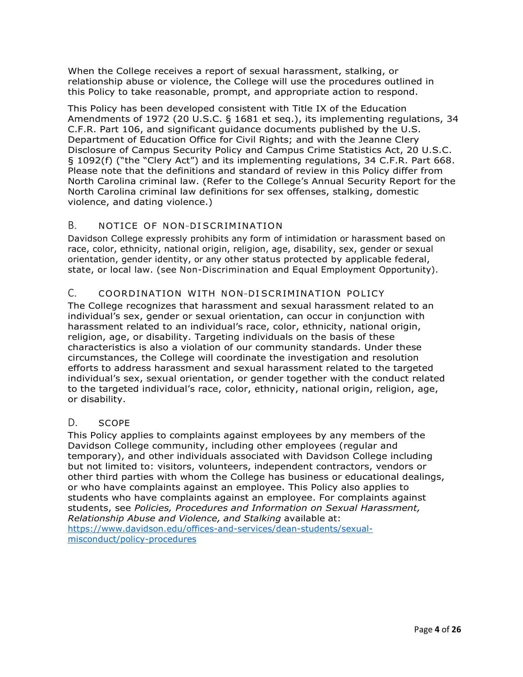When the College receives a report of sexual harassment, stalking, or relationship abuse or violence, the College will use the procedures outlined in this Policy to take reasonable, prompt, and appropriate action to respond.

 This Policy has been developed consistent with Title IX of the Education Amendments of 1972 (20 U.S.C. § 1681 et seq.), its implementing regulations, 34 C.F.R. Part 106, and significant guidance documents published by the U.S. Department of Education Office for Civil Rights; and with the Jeanne Clery Disclosure of Campus Security Policy and Campus Crime Statistics Act, 20 U.S.C. § 1092(f) ("the "Clery Act") and its implementing regulations, 34 C.F.R. Part 668. Please note that the definitions and standard of review in this Policy differ from North Carolina criminal law. (Refer to the College's Annual Security Report for the North Carolina criminal law definitions for sex offenses, stalking, domestic violence, and dating violence.)

### <span id="page-3-0"></span>B. NOTICE OF NON-DISCRIMINATION

 Davidson College expressly prohibits any form of intimidation or harassment based on race, color, ethnicity, national origin, religion, age, disability, sex, gender or sexual orientation, gender identity, or any other status protected by applicable federal, state, or local law. (see Non-Discrimination and Equal Employment Opportunity).

### <span id="page-3-1"></span>C. COORDINATION WITH NON-DISCRIMINATION POLICY

 The College recognizes that harassment and sexual harassment related to an individual's sex, gender or sexual orientation, can occur in conjunction with harassment related to an individual's race, color, ethnicity, national origin, religion, age, or disability. Targeting individuals on the basis of these characteristics is also a violation of our community standards. Under these circumstances, the College will coordinate the investigation and resolution efforts to address harassment and sexual harassment related to the targeted individual's sex, sexual orientation, or gender together with the conduct related to the targeted individual's race, color, ethnicity, national origin, religion, age, or disability.

### <span id="page-3-2"></span>D. SCOPE

 This Policy applies to complaints against employees by any members of the Davidson College community, including other employees (regular and temporary), and other individuals associated with Davidson College including but not limited to: visitors, volunteers, independent contractors, vendors or other third parties with whom the College has business or educational dealings, or who have complaints against an employee. This Policy also applies to students who have complaints against an employee. For complaints against students, see *Policies, Procedures and Information on Sexual Harassment, Relationship Abuse and Violence, and Stalking* available at: <https://www.davidson.edu/offices-and-services/dean-students/sexual>[misconduct/policy-procedures](https://www.davidson.edu/offices-and-services/dean-students/sexual-misconduct/policy-procedures)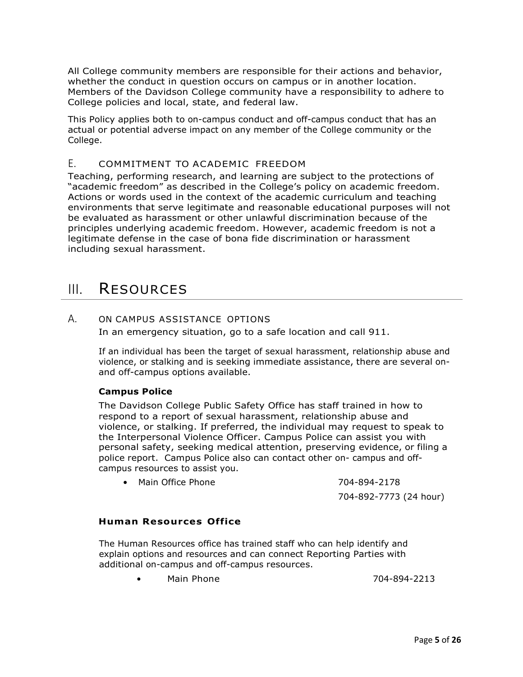All College community members are responsible for their actions and behavior, whether the conduct in question occurs on campus or in another location. Members of the Davidson College community have a responsibility to adhere to College policies and local, state, and federal law.

 This Policy applies both to on-campus conduct and off-campus conduct that has an actual or potential adverse impact on any member of the College community or the College.

### <span id="page-4-0"></span>E. COMMITMENT TO ACADEMIC FREEDOM

 Teaching, performing research, and learning are subject to the protections of "academic freedom" as described in the College's policy on academic freedom. Actions or words used in the context of the academic curriculum and teaching environments that serve legitimate and reasonable educational purposes will not be evaluated as harassment or other unlawful discrimination because of the principles underlying academic freedom. However, academic freedom is not a legitimate defense in the case of bona fide discrimination or harassment including sexual harassment.

### <span id="page-4-1"></span>III. RESOURCES

#### A. ON CAMPUS ASSISTANCE OPTIONS

In an emergency situation, go to a safe location and call 911.

 If an individual has been the target of sexual harassment, relationship abuse and violence, or stalking and is seeking immediate assistance, there are several on-and off-campus options available.

### **Campus Police**

 The Davidson College Public Safety Office has staff trained in how to respond to a report of sexual harassment, relationship abuse and violence, or stalking. If preferred, the individual may request to speak to the Interpersonal Violence Officer. Campus Police can assist you with personal safety, seeking medical attention, preserving evidence, or filing a police report. Campus Police also can contact other on- campus and off-campus resources to assist you.

• Main Office Phone 704-894-2178

704-892-7773 (24 hour)

### **Human Resources Office**

 The Human Resources office has trained staff who can help identify and explain options and resources and can connect Reporting Parties with additional on-campus and off-campus resources.

Main Phone

• Main Phone 704-894-2213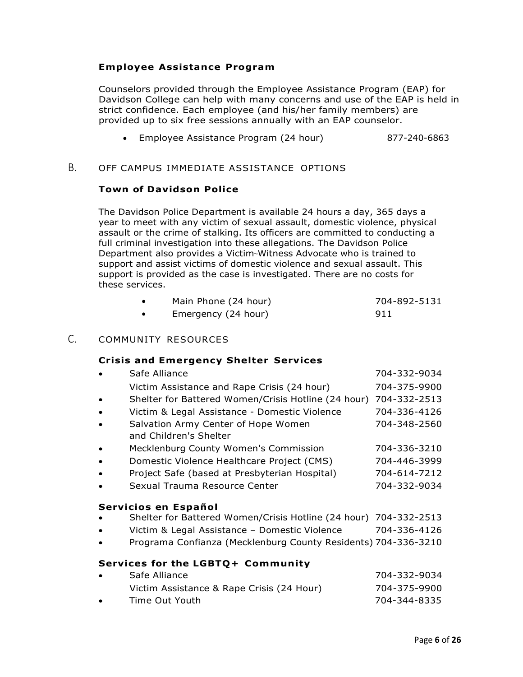### <span id="page-5-0"></span>**Employee Assistance Program**

 Counselors provided through the Employee Assistance Program (EAP) for Davidson College can help with many concerns and use of the EAP is held in strict confidence. Each employee (and his/her family members) are provided up to six free sessions annually with an EAP counselor.

• Employee Assistance Program (24 hour) 877-240-6863

### <span id="page-5-2"></span><span id="page-5-1"></span>B. OFF CAMPUS IMMEDIATE ASSISTANCE OPTIONS

### **Town of Davidson Police**

 The Davidson Police Department is available 24 hours a day, 365 days a year to meet with any victim of sexual assault, domestic violence, physical assault or the crime of stalking. Its officers are committed to conducting a full criminal investigation into these allegations. The Davidson Police Department also provides a Victim-Witness Advocate who is trained to support and assist victims of domestic violence and sexual assault. This support is provided as the case is investigated. There are no costs for these services.

| Main Phone (24 hour) | 704-892-5131 |
|----------------------|--------------|

| Main Phone (24 hour) | 704-892-5131 |
|----------------------|--------------|
| Emergency (24 hour)  | 911          |

### <span id="page-5-3"></span>C. COMMUNITY RESOURCES

### **Crisis and Emergency Shelter Services**

<span id="page-5-5"></span><span id="page-5-4"></span>

|                                   | Safe Alliance                                                  | 704-332-9034 |  |
|-----------------------------------|----------------------------------------------------------------|--------------|--|
|                                   | Victim Assistance and Rape Crisis (24 hour)                    | 704-375-9900 |  |
|                                   | Shelter for Battered Women/Crisis Hotline (24 hour)            | 704-332-2513 |  |
|                                   | Victim & Legal Assistance - Domestic Violence                  | 704-336-4126 |  |
|                                   | Salvation Army Center of Hope Women                            | 704-348-2560 |  |
|                                   | and Children's Shelter                                         |              |  |
|                                   | Mecklenburg County Women's Commission                          | 704-336-3210 |  |
|                                   | Domestic Violence Healthcare Project (CMS)                     | 704-446-3999 |  |
|                                   | Project Safe (based at Presbyterian Hospital)                  | 704-614-7212 |  |
|                                   | Sexual Trauma Resource Center                                  | 704-332-9034 |  |
|                                   |                                                                |              |  |
|                                   | Servicios en Español                                           |              |  |
|                                   | Shelter for Battered Women/Crisis Hotline (24 hour)            | 704-332-2513 |  |
|                                   | Victim & Legal Assistance - Domestic Violence                  | 704-336-4126 |  |
|                                   | Programa Confianza (Mecklenburg County Residents) 704-336-3210 |              |  |
| Services for the LGBTQ+ Community |                                                                |              |  |
|                                   | Safe Alliance                                                  | 704-332-9034 |  |
|                                   | Victim Assistance & Rape Crisis (24 Hour)                      | 704-375-9900 |  |
|                                   | Time Out Youth                                                 | 704-344-8335 |  |
|                                   |                                                                |              |  |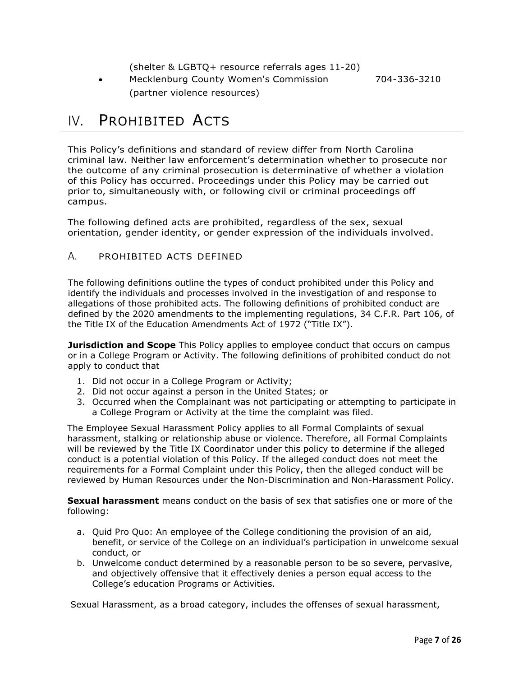(shelter & LGBTQ+ resource referrals ages 11-20)

• Mecklenburg County Women's Commission 704-336-3210 (partner violence resources)

# <span id="page-6-0"></span>IV. PROHIBITED ACTS

 This Policy's definitions and standard of review differ from North Carolina criminal law. Neither law enforcement's determination whether to prosecute nor the outcome of any criminal prosecution is determinative of whether a violation of this Policy has occurred. Proceedings under this Policy may be carried out prior to, simultaneously with, or following civil or criminal proceedings off campus.

 The following defined acts are prohibited, regardless of the sex, sexual orientation, gender identity, or gender expression of the individuals involved.

### <span id="page-6-1"></span>A. PROHIBITED ACTS DEFINED

 The following definitions outline the types of conduct prohibited under this Policy and identify the individuals and processes involved in the investigation of and response to allegations of those prohibited acts. The following definitions of prohibited conduct are defined by the 2020 amendments to the implementing regulations, 34 C.F.R. Part 106, of the Title IX of the Education Amendments Act of 1972 ("Title IX").

 **Jurisdiction and Scope** This Policy applies to employee conduct that occurs on campus or in a College Program or Activity. The following definitions of prohibited conduct do not apply to conduct that

- 1. Did not occur in a College Program or Activity;
- 2. Did not occur against a person in the United States; or
- 3. Occurred when the Complainant was not participating or attempting to participate in a College Program or Activity at the time the complaint was filed.

 The Employee Sexual Harassment Policy applies to all Formal Complaints of sexual harassment, stalking or relationship abuse or violence. Therefore, all Formal Complaints will be reviewed by the Title IX Coordinator under this policy to determine if the alleged conduct is a potential violation of this Policy. If the alleged conduct does not meet the requirements for a Formal Complaint under this Policy, then the alleged conduct will be reviewed by Human Resources under the Non-Discrimination and Non-Harassment Policy.

 **Sexual harassment** means conduct on the basis of sex that satisfies one or more of the following:

- a. Quid Pro Quo: An employee of the College conditioning the provision of an aid, benefit, or service of the College on an individual's participation in unwelcome sexual conduct, or
- b. Unwelcome conduct determined by a reasonable person to be so severe, pervasive, and objectively offensive that it effectively denies a person equal access to the College's education Programs or Activities.

Sexual Harassment, as a broad category, includes the offenses of sexual harassment,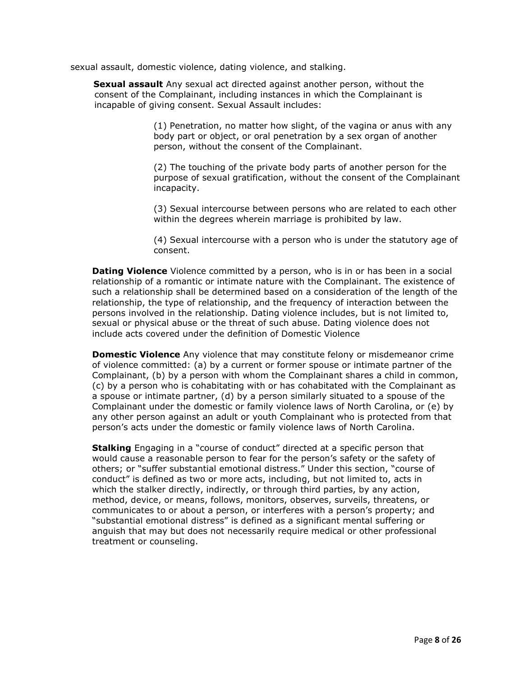sexual assault, domestic violence, dating violence, and stalking.

**Sexual assault** Any sexual act directed against another person, without the consent of the Complainant, including instances in which the Complainant is incapable of giving consent. Sexual Assault includes:

> (1) Penetration, no matter how slight, of the vagina or anus with any body part or object, or oral penetration by a sex organ of another person, without the consent of the Complainant.

 (2) The touching of the private body parts of another person for the purpose of sexual gratification, without the consent of the Complainant incapacity.

incapacity.<br>(3) Sexual intercourse between persons who are related to each other within the degrees wherein marriage is prohibited by law.

 (4) Sexual intercourse with a person who is under the statutory age of consent.

 **Dating Violence** Violence committed by a person, who is in or has been in a social relationship of a romantic or intimate nature with the Complainant. The existence of such a relationship shall be determined based on a consideration of the length of the relationship, the type of relationship, and the frequency of interaction between the persons involved in the relationship. Dating violence includes, but is not limited to, sexual or physical abuse or the threat of such abuse. Dating violence does not include acts covered under the definition of Domestic Violence

 **Domestic Violence** Any violence that may constitute felony or misdemeanor crime of violence committed: (a) by a current or former spouse or intimate partner of the Complainant, (b) by a person with whom the Complainant shares a child in common, (c) by a person who is cohabitating with or has cohabitated with the Complainant as a spouse or intimate partner, (d) by a person similarly situated to a spouse of the Complainant under the domestic or family violence laws of North Carolina, or (e) by any other person against an adult or youth Complainant who is protected from that person's acts under the domestic or family violence laws of North Carolina.

 **Stalking** Engaging in a "course of conduct" directed at a specific person that would cause a reasonable person to fear for the person's safety or the safety of others; or "suffer substantial emotional distress." Under this section, "course of conduct" is defined as two or more acts, including, but not limited to, acts in which the stalker directly, indirectly, or through third parties, by any action, method, device, or means, follows, monitors, observes, surveils, threatens, or communicates to or about a person, or interferes with a person's property; and "substantial emotional distress" is defined as a significant mental suffering or anguish that may but does not necessarily require medical or other professional treatment or counseling.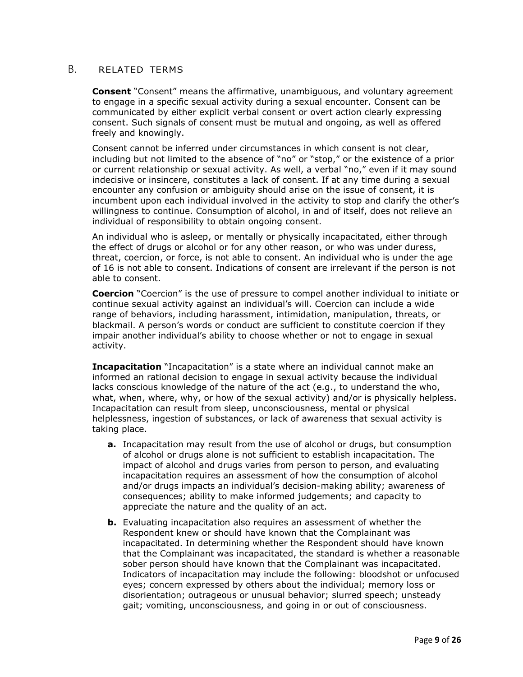### <span id="page-8-0"></span>B. RELATED TERMS

 **Consent** "Consent" means the affirmative, unambiguous, and voluntary agreement to engage in a specific sexual activity during a sexual encounter. Consent can be communicated by either explicit verbal consent or overt action clearly expressing consent. Such signals of consent must be mutual and ongoing, as well as offered freely and knowingly.

 Consent cannot be inferred under circumstances in which consent is not clear, including but not limited to the absence of "no" or "stop," or the existence of a prior or current relationship or sexual activity. As well, a verbal "no," even if it may sound indecisive or insincere, constitutes a lack of consent. If at any time during a sexual encounter any confusion or ambiguity should arise on the issue of consent, it is incumbent upon each individual involved in the activity to stop and clarify the other's willingness to continue. Consumption of alcohol, in and of itself, does not relieve an individual of responsibility to obtain ongoing consent.

 An individual who is asleep, or mentally or physically incapacitated, either through the effect of drugs or alcohol or for any other reason, or who was under duress, threat, coercion, or force, is not able to consent. An individual who is under the age of 16 is not able to consent. Indications of consent are irrelevant if the person is not able to consent.

 **Coercion** "Coercion" is the use of pressure to compel another individual to initiate or continue sexual activity against an individual's will. Coercion can include a wide range of behaviors, including harassment, intimidation, manipulation, threats, or blackmail. A person's words or conduct are sufficient to constitute coercion if they impair another individual's ability to choose whether or not to engage in sexual activity.

 **Incapacitation** "Incapacitation" is a state where an individual cannot make an informed an rational decision to engage in sexual activity because the individual lacks conscious knowledge of the nature of the act (e.g., to understand the who, what, when, where, why, or how of the sexual activity) and/or is physically helpless. Incapacitation can result from sleep, unconsciousness, mental or physical helplessness, ingestion of substances, or lack of awareness that sexual activity is taking place.

- **a.** Incapacitation may result from the use of alcohol or drugs, but consumption of alcohol or drugs alone is not sufficient to establish incapacitation. The impact of alcohol and drugs varies from person to person, and evaluating incapacitation requires an assessment of how the consumption of alcohol and/or drugs impacts an individual's decision-making ability; awareness of consequences; ability to make informed judgements; and capacity to appreciate the nature and the quality of an act.
- **b.** Evaluating incapacitation also requires an assessment of whether the Respondent knew or should have known that the Complainant was incapacitated. In determining whether the Respondent should have known that the Complainant was incapacitated, the standard is whether a reasonable sober person should have known that the Complainant was incapacitated. Indicators of incapacitation may include the following: bloodshot or unfocused eyes; concern expressed by others about the individual; memory loss or disorientation; outrageous or unusual behavior; slurred speech; unsteady gait; vomiting, unconsciousness, and going in or out of consciousness.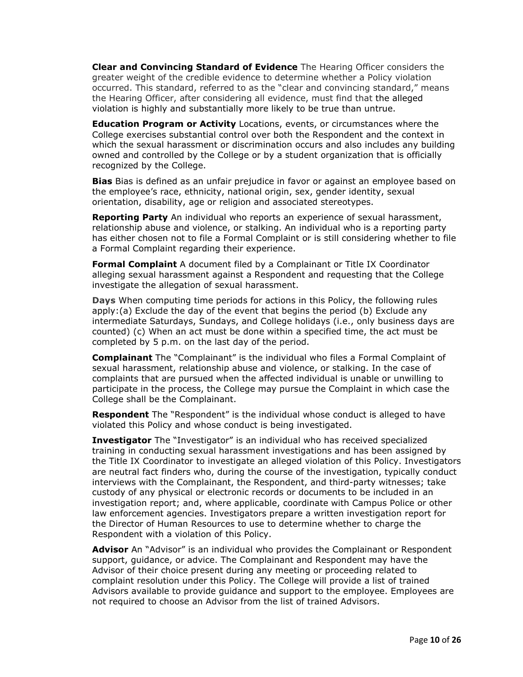**Clear and Convincing Standard of Evidence** The Hearing Officer considers the greater weight of the credible evidence to determine whether a Policy violation occurred. This standard, referred to as the "clear and convincing standard," means the Hearing Officer, after considering all evidence, must find that the alleged violation is highly and substantially more likely to be true than untrue.

 **Education Program or Activity** Locations, events, or circumstances where the College exercises substantial control over both the Respondent and the context in which the sexual harassment or discrimination occurs and also includes any building owned and controlled by the College or by a student organization that is officially recognized by the College.

 **Bias** Bias is defined as an unfair prejudice in favor or against an employee based on the employee's race, ethnicity, national origin, sex, gender identity, sexual orientation, disability, age or religion and associated stereotypes.

 **Reporting Party** An individual who reports an experience of sexual harassment, relationship abuse and violence, or stalking. An individual who is a reporting party has either chosen not to file a Formal Complaint or is still considering whether to file a Formal Complaint regarding their experience.

 **Formal Complaint** A document filed by a Complainant or Title IX Coordinator alleging sexual harassment against a Respondent and requesting that the College investigate the allegation of sexual harassment.

 **Days** When computing time periods for actions in this Policy, the following rules apply:(a) Exclude the day of the event that begins the period (b) Exclude any intermediate Saturdays, Sundays, and College holidays (i.e., only business days are counted) (c) When an act must be done within a specified time, the act must be completed by 5 p.m. on the last day of the period.

 **Complainant** The "Complainant" is the individual who files a Formal Complaint of sexual harassment, relationship abuse and violence, or stalking. In the case of complaints that are pursued when the affected individual is unable or unwilling to participate in the process, the College may pursue the Complaint in which case the College shall be the Complainant.

 **Respondent** The "Respondent" is the individual whose conduct is alleged to have violated this Policy and whose conduct is being investigated.

 **Investigator** The "Investigator" is an individual who has received specialized training in conducting sexual harassment investigations and has been assigned by the Title IX Coordinator to investigate an alleged violation of this Policy. Investigators are neutral fact finders who, during the course of the investigation, typically conduct interviews with the Complainant, the Respondent, and third-party witnesses; take custody of any physical or electronic records or documents to be included in an investigation report; and, where applicable, coordinate with Campus Police or other law enforcement agencies. Investigators prepare a written investigation report for the Director of Human Resources to use to determine whether to charge the Respondent with a violation of this Policy.

 **Advisor** An "Advisor" is an individual who provides the Complainant or Respondent support, guidance, or advice. The Complainant and Respondent may have the Advisor of their choice present during any meeting or proceeding related to complaint resolution under this Policy. The College will provide a list of trained Advisors available to provide guidance and support to the employee. Employees are not required to choose an Advisor from the list of trained Advisors.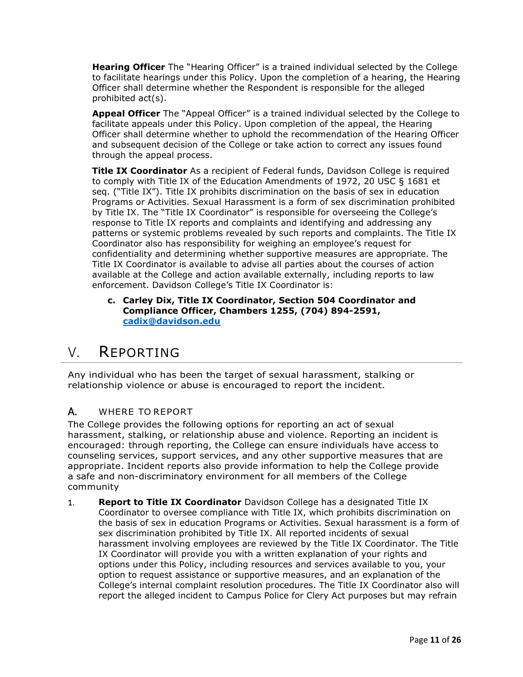**Hearing Officer** The "Hearing Officer" is a trained individual selected by the College to facilitate hearings under this Policy. Upon the completion of a hearing, the Hearing Officer shall determine whether the Respondent is responsible for the alleged prohibited act(s).

 **Appeal Officer** The "Appeal Officer" is a trained individual selected by the College to facilitate appeals under this Policy. Upon completion of the appeal, the Hearing Officer shall determine whether to uphold the recommendation of the Hearing Officer and subsequent decision of the College or take action to correct any issues found through the appeal process.

 **Title IX Coordinator** As a recipient of Federal funds, Davidson College is required to comply with Title IX of the Education Amendments of 1972, 20 USC § 1681 et seq. ("Title IX"). Title IX prohibits discrimination on the basis of sex in education Programs or Activities. Sexual Harassment is a form of sex discrimination prohibited by Title IX. The "Title IX Coordinator" is responsible for overseeing the College's response to Title IX reports and complaints and identifying and addressing any patterns or systemic problems revealed by such reports and complaints. The Title IX Coordinator also has responsibility for weighing an employee's request for confidentiality and determining whether supportive measures are appropriate. The Title IX Coordinator is available to advise all parties about the courses of action available at the College and action available externally, including reports to law enforcement. Davidson College's Title IX Coordinator is:

 **c. Carley Dix, Title IX Coordinator, Section 504 Coordinator and Compliance Officer, Chambers 1255, (704) 894-2591, [cadix@davidson.edu](mailto:cadix@davidson.edu)** 

### <span id="page-10-0"></span>V. REPORTING

 Any individual who has been the target of sexual harassment, stalking or relationship violence or abuse is encouraged to report the incident.

### A. WHERE TO REPORT

 The College provides the following options for reporting an act of sexual harassment, stalking, or relationship abuse and violence. Reporting an incident is encouraged: through reporting, the College can ensure individuals have access to counseling services, support services, and any other supportive measures that are appropriate. Incident reports also provide information to help the College provide a safe and non-discriminatory environment for all members of the College community

 1. **Report to Title IX Coordinator** Davidson College has a designated Title IX Coordinator to oversee compliance with Title IX, which prohibits discrimination on the basis of sex in education Programs or Activities. Sexual harassment is a form of sex discrimination prohibited by Title IX. All reported incidents of sexual harassment involving employees are reviewed by the Title IX Coordinator. The Title IX Coordinator will provide you with a written explanation of your rights and options under this Policy, including resources and services available to you, your option to request assistance or supportive measures, and an explanation of the College's internal complaint resolution procedures. The Title IX Coordinator also will report the alleged incident to Campus Police for Clery Act purposes but may refrain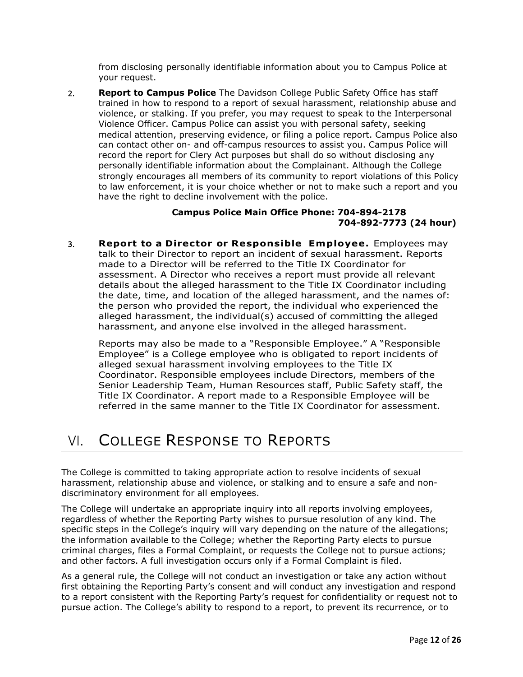from disclosing personally identifiable information about you to Campus Police at your request.

 2. **Report to Campus Police** The Davidson College Public Safety Office has staff trained in how to respond to a report of sexual harassment, relationship abuse and violence, or stalking. If you prefer, you may request to speak to the Interpersonal Violence Officer. Campus Police can assist you with personal safety, seeking medical attention, preserving evidence, or filing a police report. Campus Police also can contact other on- and off-campus resources to assist you. Campus Police will record the report for Clery Act purposes but shall do so without disclosing any personally identifiable information about the Complainant. Although the College strongly encourages all members of its community to report violations of this Policy to law enforcement, it is your choice whether or not to make such a report and you have the right to decline involvement with the police.

### **Campus Police Main Office Phone: 704-894-2178 704-892-7773 (24 hour)**

 talk to their Director to report an incident of sexual harassment. Reports made to a Director will be referred to the Title IX Coordinator for assessment. A Director who receives a report must provide all relevant details about the alleged harassment to the Title IX Coordinator including the date, time, and location of the alleged harassment, and the names of: the person who provided the report, the individual who experienced the alleged harassment, the individual(s) accused of committing the alleged harassment, and anyone else involved in the alleged harassment. 3. **Report to a Director or Responsible Employee.** Employees may

 Reports may also be made to a "Responsible Employee." A "Responsible Employee" is a College employee who is obligated to report incidents of alleged sexual harassment involving employees to the Title IX Senior Leadership Team, Human Resources staff, Public Safety staff, the Title IX Coordinator. A report made to a Responsible Employee will be referred in the same manner to the Title IX Coordinator for assessment. Coordinator. Responsible employees include Directors, members of the

# VI. COLLEGE RESPONSE TO REPORTS

 The College is committed to taking appropriate action to resolve incidents of sexual harassment, relationship abuse and violence, or stalking and to ensure a safe and non-discriminatory environment for all employees.

 The College will undertake an appropriate inquiry into all reports involving employees, regardless of whether the Reporting Party wishes to pursue resolution of any kind. The specific steps in the College's inquiry will vary depending on the nature of the allegations; the information available to the College; whether the Reporting Party elects to pursue criminal charges, files a Formal Complaint, or requests the College not to pursue actions; and other factors. A full investigation occurs only if a Formal Complaint is filed.

 As a general rule, the College will not conduct an investigation or take any action without first obtaining the Reporting Party's consent and will conduct any investigation and respond to a report consistent with the Reporting Party's request for confidentiality or request not to pursue action. The College's ability to respond to a report, to prevent its recurrence, or to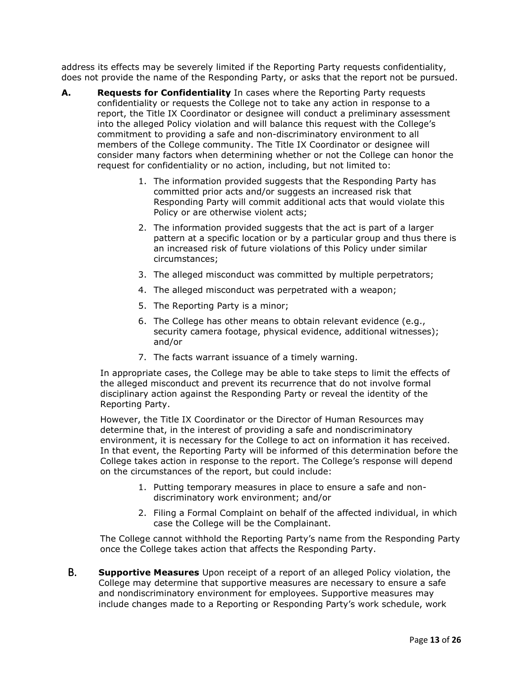address its effects may be severely limited if the Reporting Party requests confidentiality, does not provide the name of the Responding Party, or asks that the report not be pursued.

- **A.** Requests for Confidentiality In cases where the Reporting Party requests confidentiality or requests the College not to take any action in response to a report, the Title IX Coordinator or designee will conduct a preliminary assessment into the alleged Policy violation and will balance this request with the College's commitment to providing a safe and non-discriminatory environment to all members of the College community. The Title IX Coordinator or designee will consider many factors when determining whether or not the College can honor the request for confidentiality or no action, including, but not limited to:
	- 1. The information provided suggests that the Responding Party has committed prior acts and/or suggests an increased risk that Responding Party will commit additional acts that would violate this Policy or are otherwise violent acts;
	- 2. The information provided suggests that the act is part of a larger pattern at a specific location or by a particular group and thus there is an increased risk of future violations of this Policy under similar circumstances;
	- 3. The alleged misconduct was committed by multiple perpetrators;
	- 4. The alleged misconduct was perpetrated with a weapon;
	- 5. The Reporting Party is a minor;
	- 6. The College has other means to obtain relevant evidence (e.g., security camera footage, physical evidence, additional witnesses); and/or
	- 7. The facts warrant issuance of a timely warning.

 In appropriate cases, the College may be able to take steps to limit the effects of the alleged misconduct and prevent its recurrence that do not involve formal disciplinary action against the Responding Party or reveal the identity of the Reporting Party.

 However, the Title IX Coordinator or the Director of Human Resources may determine that, in the interest of providing a safe and nondiscriminatory environment, it is necessary for the College to act on information it has received. In that event, the Reporting Party will be informed of this determination before the College takes action in response to the report. The College's response will depend on the circumstances of the report, but could include:

- 1. Putting temporary measures in place to ensure a safe and non-discriminatory work environment; and/or
- 2. Filing a Formal Complaint on behalf of the affected individual, in which case the College will be the Complainant.

 The College cannot withhold the Reporting Party's name from the Responding Party once the College takes action that affects the Responding Party.

 B. **Supportive Measures** Upon receipt of a report of an alleged Policy violation, the College may determine that supportive measures are necessary to ensure a safe and nondiscriminatory environment for employees. Supportive measures may include changes made to a Reporting or Responding Party's work schedule, work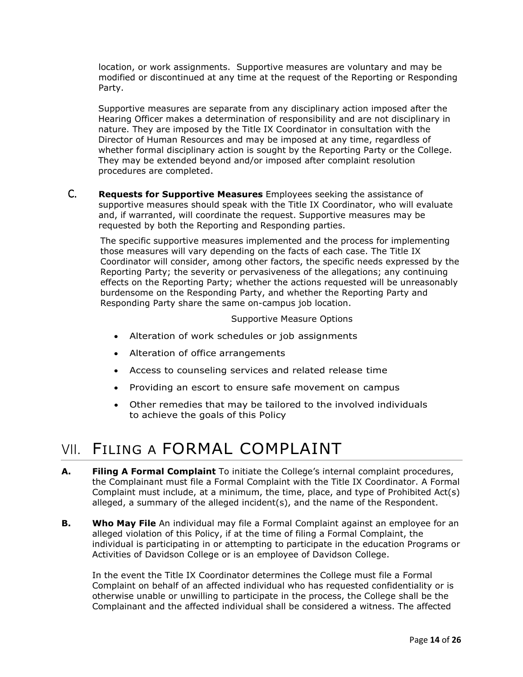location, or work assignments. Supportive measures are voluntary and may be modified or discontinued at any time at the request of the Reporting or Responding Party.

 Supportive measures are separate from any disciplinary action imposed after the Hearing Officer makes a determination of responsibility and are not disciplinary in nature. They are imposed by the Title IX Coordinator in consultation with the Director of Human Resources and may be imposed at any time, regardless of whether formal disciplinary action is sought by the Reporting Party or the College. They may be extended beyond and/or imposed after complaint resolution procedures are completed.

 C. **Requests for Supportive Measures** Employees seeking the assistance of supportive measures should speak with the Title IX Coordinator, who will evaluate and, if warranted, will coordinate the request. Supportive measures may be requested by both the Reporting and Responding parties.

 The specific supportive measures implemented and the process for implementing those measures will vary depending on the facts of each case. The Title IX Coordinator will consider, among other factors, the specific needs expressed by the Reporting Party; the severity or pervasiveness of the allegations; any continuing effects on the Reporting Party; whether the actions requested will be unreasonably burdensome on the Responding Party, and whether the Reporting Party and Responding Party share the same on-campus job location.

#### Supportive Measure Options

- Alteration of work schedules or job assignments
- Alteration of office arrangements
- Access to counseling services and related release time
- Providing an escort to ensure safe movement on campus
- • Other remedies that may be tailored to the involved individuals to achieve the goals of this Policy

# <span id="page-13-0"></span>VII. FILING A FORMAL COMPLAINT

- **A. Filing A Formal Complaint** To initiate the College's internal complaint procedures, the Complainant must file a Formal Complaint with the Title IX Coordinator. A Formal Complaint must include, at a minimum, the time, place, and type of Prohibited Act(s) alleged, a summary of the alleged incident(s), and the name of the Respondent.
- **B. Who May File** An individual may file a Formal Complaint against an employee for an alleged violation of this Policy, if at the time of filing a Formal Complaint, the individual is participating in or attempting to participate in the education Programs or Activities of Davidson College or is an employee of Davidson College.

 In the event the Title IX Coordinator determines the College must file a Formal Complaint on behalf of an affected individual who has requested confidentiality or is otherwise unable or unwilling to participate in the process, the College shall be the Complainant and the affected individual shall be considered a witness. The affected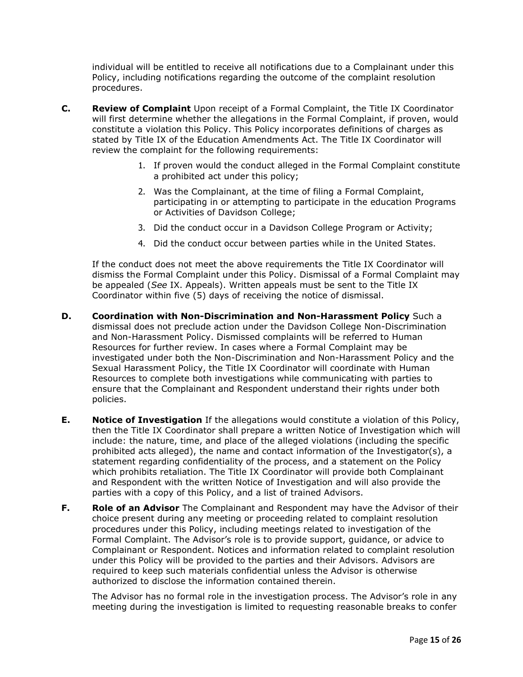individual will be entitled to receive all notifications due to a Complainant under this Policy, including notifications regarding the outcome of the complaint resolution procedures.

- will first determine whether the allegations in the Formal Complaint, if proven, would constitute a violation this Policy. This Policy incorporates definitions of charges as stated by Title IX of the Education Amendments Act. The Title IX Coordinator will review the complaint for the following requirements: **Review of Complaint** Upon receipt of a Formal Complaint, the Title IX Coordinator
	- 1. If proven would the conduct alleged in the Formal Complaint constitute a prohibited act under this policy;
	- 2. Was the Complainant, at the time of filing a Formal Complaint, participating in or attempting to participate in the education Programs or Activities of Davidson College;
	- 3. Did the conduct occur in a Davidson College Program or Activity;
	- 4. Did the conduct occur between parties while in the United States.

 If the conduct does not meet the above requirements the Title IX Coordinator will dismiss the Formal Complaint under this Policy. Dismissal of a Formal Complaint may be appealed (*See* IX. Appeals). Written appeals must be sent to the Title IX Coordinator within five (5) days of receiving the notice of dismissal.

- **D.**  dismissal does not preclude action under the Davidson College Non-Discrimination and Non-Harassment Policy. Dismissed complaints will be referred to Human Resources for further review. In cases where a Formal Complaint may be investigated under both the Non-Discrimination and Non-Harassment Policy and the Sexual Harassment Policy, the Title IX Coordinator will coordinate with Human Resources to complete both investigations while communicating with parties to ensure that the Complainant and Respondent understand their rights under both **D. Coordination with Non-Discrimination and Non-Harassment Policy** Such a policies.
- **E. Notice of Investigation** If the allegations would constitute a violation of this Policy, then the Title IX Coordinator shall prepare a written Notice of Investigation which will include: the nature, time, and place of the alleged violations (including the specific prohibited acts alleged), the name and contact information of the Investigator(s), a statement regarding confidentiality of the process, and a statement on the Policy which prohibits retaliation. The Title IX Coordinator will provide both Complainant and Respondent with the written Notice of Investigation and will also provide the parties with a copy of this Policy, and a list of trained Advisors.
- **F. Role of an Advisor** The Complainant and Respondent may have the Advisor of their choice present during any meeting or proceeding related to complaint resolution procedures under this Policy, including meetings related to investigation of the Formal Complaint. The Advisor's role is to provide support, guidance, or advice to Complainant or Respondent. Notices and information related to complaint resolution under this Policy will be provided to the parties and their Advisors. Advisors are required to keep such materials confidential unless the Advisor is otherwise authorized to disclose the information contained therein.

 The Advisor has no formal role in the investigation process. The Advisor's role in any meeting during the investigation is limited to requesting reasonable breaks to confer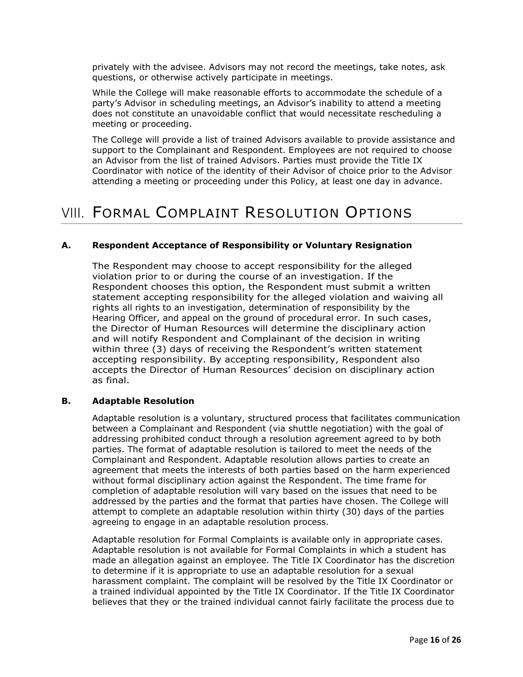privately with the advisee. Advisors may not record the meetings, take notes, ask questions, or otherwise actively participate in meetings.

 While the College will make reasonable efforts to accommodate the schedule of a party's Advisor in scheduling meetings, an Advisor's inability to attend a meeting does not constitute an unavoidable conflict that would necessitate rescheduling a meeting or proceeding.

 The College will provide a list of trained Advisors available to provide assistance and support to the Complainant and Respondent. Employees are not required to choose an Advisor from the list of trained Advisors. Parties must provide the Title IX Coordinator with notice of the identity of their Advisor of choice prior to the Advisor attending a meeting or proceeding under this Policy, at least one day in advance.

### VIII. FORMAL COMPLAINT RESOLUTION OPTIONS

### **A. Respondent Acceptance of Responsibility or Voluntary Resignation**

 The Respondent may choose to accept responsibility for the alleged violation prior to or during the course of an investigation. If the Respondent chooses this option, the Respondent must submit a written statement accepting responsibility for the alleged violation and waiving all rights all rights to an investigation, determination of responsibility by the Hearing Officer, and appeal on the ground of procedural error. In such cases, the Director of Human Resources will determine the disciplinary action and will notify Respondent and Complainant of the decision in writing within three (3) days of receiving the Respondent's written statement accepting responsibility. By accepting responsibility, Respondent also accepts the Director of Human Resources' decision on disciplinary action as final.

#### **B. Adaptable Resolution**

 Adaptable resolution is a voluntary, structured process that facilitates communication between a Complainant and Respondent (via shuttle negotiation) with the goal of addressing prohibited conduct through a resolution agreement agreed to by both parties. The format of adaptable resolution is tailored to meet the needs of the Complainant and Respondent. Adaptable resolution allows parties to create an agreement that meets the interests of both parties based on the harm experienced without formal disciplinary action against the Respondent. The time frame for completion of adaptable resolution will vary based on the issues that need to be addressed by the parties and the format that parties have chosen. The College will attempt to complete an adaptable resolution within thirty (30) days of the parties agreeing to engage in an adaptable resolution process.

 Adaptable resolution for Formal Complaints is available only in appropriate cases. Adaptable resolution is not available for Formal Complaints in which a student has made an allegation against an employee. The Title IX Coordinator has the discretion to determine if it is appropriate to use an adaptable resolution for a sexual harassment complaint. The complaint will be resolved by the Title IX Coordinator or a trained individual appointed by the Title IX Coordinator. If the Title IX Coordinator believes that they or the trained individual cannot fairly facilitate the process due to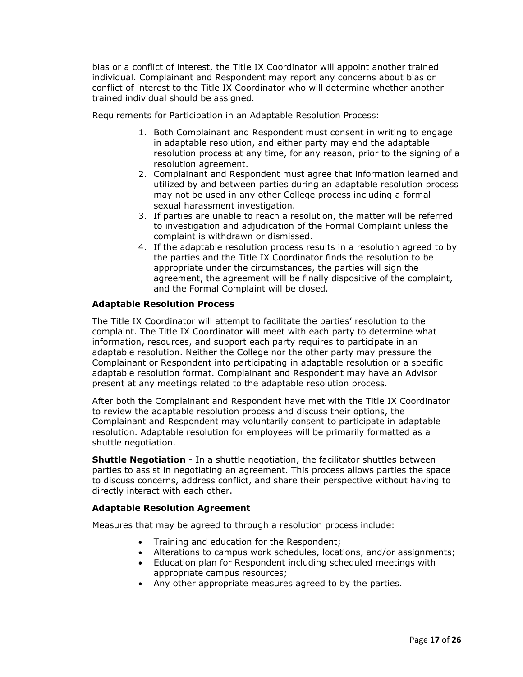bias or a conflict of interest, the Title IX Coordinator will appoint another trained individual. Complainant and Respondent may report any concerns about bias or conflict of interest to the Title IX Coordinator who will determine whether another trained individual should be assigned.

Requirements for Participation in an Adaptable Resolution Process:

- 1. Both Complainant and Respondent must consent in writing to engage in adaptable resolution, and either party may end the adaptable resolution process at any time, for any reason, prior to the signing of a resolution agreement.
- resolution agreement. 2. Complainant and Respondent must agree that information learned and utilized by and between parties during an adaptable resolution process may not be used in any other College process including a formal sexual harassment investigation.
- sexual harassment investigation. 3. If parties are unable to reach a resolution, the matter will be referred to investigation and adjudication of the Formal Complaint unless the complaint is withdrawn or dismissed.
- 4. If the adaptable resolution process results in a resolution agreed to by the parties and the Title IX Coordinator finds the resolution to be appropriate under the circumstances, the parties will sign the agreement, the agreement will be finally dispositive of the complaint, and the Formal Complaint will be closed.

### **Adaptable Resolution Process**

 The Title IX Coordinator will attempt to facilitate the parties' resolution to the complaint. The Title IX Coordinator will meet with each party to determine what information, resources, and support each party requires to participate in an adaptable resolution. Neither the College nor the other party may pressure the Complainant or Respondent into participating in adaptable resolution or a specific adaptable resolution format. Complainant and Respondent may have an Advisor present at any meetings related to the adaptable resolution process.

 After both the Complainant and Respondent have met with the Title IX Coordinator to review the adaptable resolution process and discuss their options, the Complainant and Respondent may voluntarily consent to participate in adaptable resolution. Adaptable resolution for employees will be primarily formatted as a shuttle negotiation.

 **Shuttle Negotiation** - In a shuttle negotiation, the facilitator shuttles between parties to assist in negotiating an agreement. This process allows parties the space to discuss concerns, address conflict, and share their perspective without having to directly interact with each other.

### **Adaptable Resolution Agreement**

Measures that may be agreed to through a resolution process include:

- Training and education for the Respondent;
- Alterations to campus work schedules, locations, and/or assignments;
- • Education plan for Respondent including scheduled meetings with appropriate campus resources;
- Any other appropriate measures agreed to by the parties.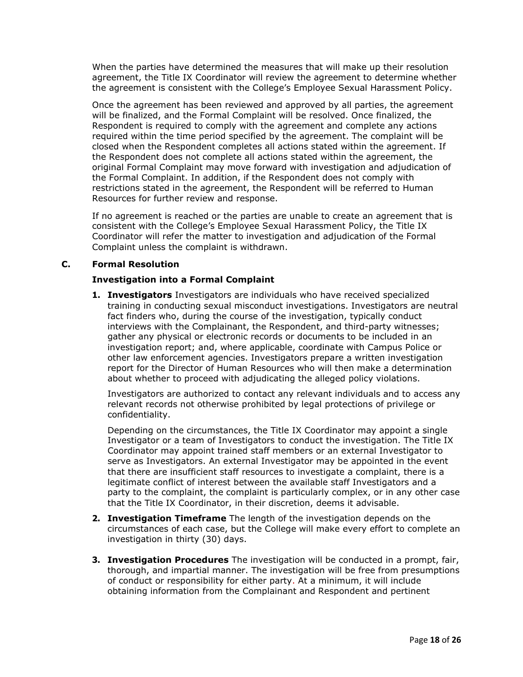When the parties have determined the measures that will make up their resolution agreement, the Title IX Coordinator will review the agreement to determine whether the agreement is consistent with the College's Employee Sexual Harassment Policy.

 Once the agreement has been reviewed and approved by all parties, the agreement will be finalized, and the Formal Complaint will be resolved. Once finalized, the Respondent is required to comply with the agreement and complete any actions required within the time period specified by the agreement. The complaint will be closed when the Respondent completes all actions stated within the agreement. If the Respondent does not complete all actions stated within the agreement, the original Formal Complaint may move forward with investigation and adjudication of the Formal Complaint. In addition, if the Respondent does not comply with restrictions stated in the agreement, the Respondent will be referred to Human Resources for further review and response.

 If no agreement is reached or the parties are unable to create an agreement that is consistent with the College's Employee Sexual Harassment Policy, the Title IX Coordinator will refer the matter to investigation and adjudication of the Formal Complaint unless the complaint is withdrawn.

### **C. Formal Resolution**

### **Investigation into a Formal Complaint**

 **1. Investigators** Investigators are individuals who have received specialized training in conducting sexual misconduct investigations. Investigators are neutral fact finders who, during the course of the investigation, typically conduct interviews with the Complainant, the Respondent, and third-party witnesses; gather any physical or electronic records or documents to be included in an investigation report; and, where applicable, coordinate with Campus Police or other law enforcement agencies. Investigators prepare a written investigation report for the Director of Human Resources who will then make a determination about whether to proceed with adjudicating the alleged policy violations.

 Investigators are authorized to contact any relevant individuals and to access any relevant records not otherwise prohibited by legal protections of privilege or confidentiality.

 Depending on the circumstances, the Title IX Coordinator may appoint a single Investigator or a team of Investigators to conduct the investigation. The Title IX Coordinator may appoint trained staff members or an external Investigator to serve as Investigators. An external Investigator may be appointed in the event that there are insufficient staff resources to investigate a complaint, there is a legitimate conflict of interest between the available staff Investigators and a party to the complaint, the complaint is particularly complex, or in any other case that the Title IX Coordinator, in their discretion, deems it advisable.

- **2. Investigation Timeframe** The length of the investigation depends on the circumstances of each case, but the College will make every effort to complete an investigation in thirty (30) days.
- **3. Investigation Procedures** The investigation will be conducted in a prompt, fair, thorough, and impartial manner. The investigation will be free from presumptions of conduct or responsibility for either party. At a minimum, it will include obtaining information from the Complainant and Respondent and pertinent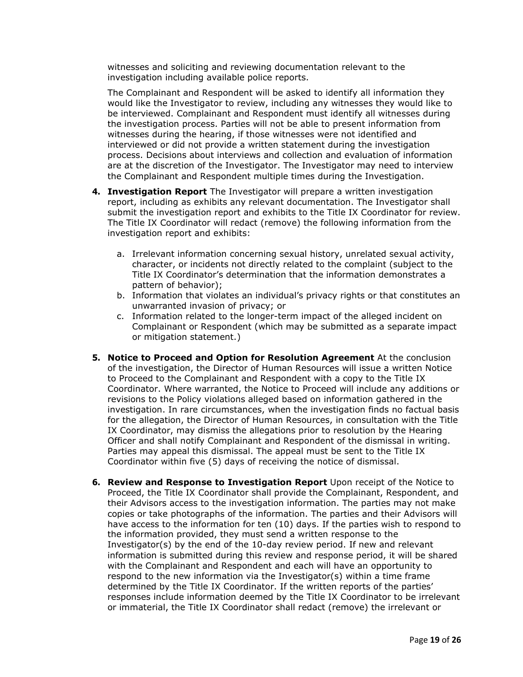witnesses and soliciting and reviewing documentation relevant to the investigation including available police reports.

 The Complainant and Respondent will be asked to identify all information they would like the Investigator to review, including any witnesses they would like to be interviewed. Complainant and Respondent must identify all witnesses during the investigation process. Parties will not be able to present information from witnesses during the hearing, if those witnesses were not identified and interviewed or did not provide a written statement during the investigation process. Decisions about interviews and collection and evaluation of information are at the discretion of the Investigator. The Investigator may need to interview the Complainant and Respondent multiple times during the Investigation.

- **4. Investigation Report** The Investigator will prepare a written investigation report, including as exhibits any relevant documentation. The Investigator shall submit the investigation report and exhibits to the Title IX Coordinator for review. The Title IX Coordinator will redact (remove) the following information from the investigation report and exhibits:
	- investigation report and exhibits:<br>a. Irrelevant information concerning sexual history, unrelated sexual activity, character, or incidents not directly related to the complaint (subject to the Title IX Coordinator's determination that the information demonstrates a pattern of behavior);
		- b. Information that violates an individual's privacy rights or that constitutes an unwarranted invasion of privacy; or
		- c. Information related to the longer-term impact of the alleged incident on Complainant or Respondent (which may be submitted as a separate impact or mitigation statement.)
- **5. Notice to Proceed and Option for Resolution Agreement** At the conclusion of the investigation, the Director of Human Resources will issue a written Notice to Proceed to the Complainant and Respondent with a copy to the Title IX Coordinator. Where warranted, the Notice to Proceed will include any additions or revisions to the Policy violations alleged based on information gathered in the investigation. In rare circumstances, when the investigation finds no factual basis for the allegation, the Director of Human Resources, in consultation with the Title IX Coordinator, may dismiss the allegations prior to resolution by the Hearing Officer and shall notify Complainant and Respondent of the dismissal in writing. Parties may appeal this dismissal. The appeal must be sent to the Title IX Coordinator within five (5) days of receiving the notice of dismissal.
- **6. Review and Response to Investigation Report** Upon receipt of the Notice to Proceed, the Title IX Coordinator shall provide the Complainant, Respondent, and their Advisors access to the investigation information. The parties may not make copies or take photographs of the information. The parties and their Advisors will have access to the information for ten (10) days. If the parties wish to respond to the information provided, they must send a written response to the Investigator(s) by the end of the 10-day review period. If new and relevant information is submitted during this review and response period, it will be shared with the Complainant and Respondent and each will have an opportunity to respond to the new information via the Investigator(s) within a time frame determined by the Title IX Coordinator. If the written reports of the parties' responses include information deemed by the Title IX Coordinator to be irrelevant or immaterial, the Title IX Coordinator shall redact (remove) the irrelevant or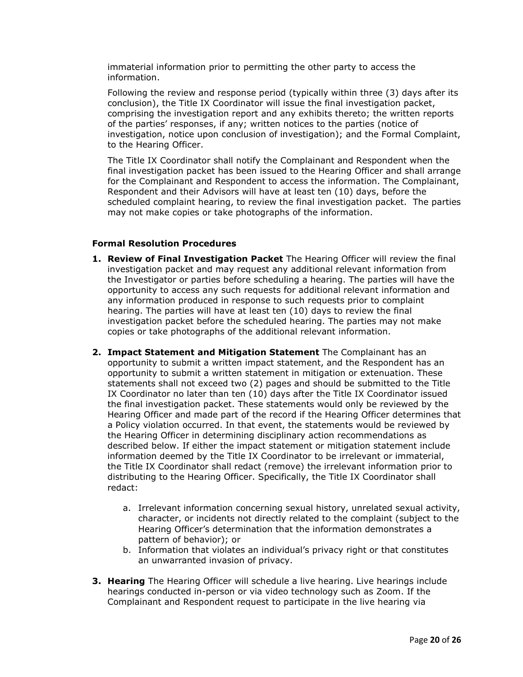immaterial information prior to permitting the other party to access the information.

information.<br>Following the review and response period (typically within three (3) days after its conclusion), the Title IX Coordinator will issue the final investigation packet, comprising the investigation report and any exhibits thereto; the written reports of the parties' responses, if any; written notices to the parties (notice of investigation, notice upon conclusion of investigation); and the Formal Complaint, to the Hearing Officer.

 The Title IX Coordinator shall notify the Complainant and Respondent when the final investigation packet has been issued to the Hearing Officer and shall arrange for the Complainant and Respondent to access the information. The Complainant, Respondent and their Advisors will have at least ten (10) days, before the scheduled complaint hearing, to review the final investigation packet. The parties may not make copies or take photographs of the information.

### **Formal Resolution Procedures**

- **1. Review of Final Investigation Packet** The Hearing Officer will review the final investigation packet and may request any additional relevant information from the Investigator or parties before scheduling a hearing. The parties will have the opportunity to access any such requests for additional relevant information and any information produced in response to such requests prior to complaint hearing. The parties will have at least ten (10) days to review the final investigation packet before the scheduled hearing. The parties may not make copies or take photographs of the additional relevant information.
- **2. Impact Statement and Mitigation Statement** The Complainant has an opportunity to submit a written impact statement, and the Respondent has an opportunity to submit a written statement in mitigation or extenuation. These statements shall not exceed two (2) pages and should be submitted to the Title IX Coordinator no later than ten (10) days after the Title IX Coordinator issued the final investigation packet. These statements would only be reviewed by the Hearing Officer and made part of the record if the Hearing Officer determines that a Policy violation occurred. In that event, the statements would be reviewed by the Hearing Officer in determining disciplinary action recommendations as described below. If either the impact statement or mitigation statement include information deemed by the Title IX Coordinator to be irrelevant or immaterial, the Title IX Coordinator shall redact (remove) the irrelevant information prior to distributing to the Hearing Officer. Specifically, the Title IX Coordinator shall redact:
	- a. Irrelevant information concerning sexual history, unrelated sexual activity, character, or incidents not directly related to the complaint (subject to the Hearing Officer's determination that the information demonstrates a pattern of behavior); or
	- b. Information that violates an individual's privacy right or that constitutes an unwarranted invasion of privacy.
- **3. Hearing** The Hearing Officer will schedule a live hearing. Live hearings include hearings conducted in-person or via video technology such as Zoom. If the Complainant and Respondent request to participate in the live hearing via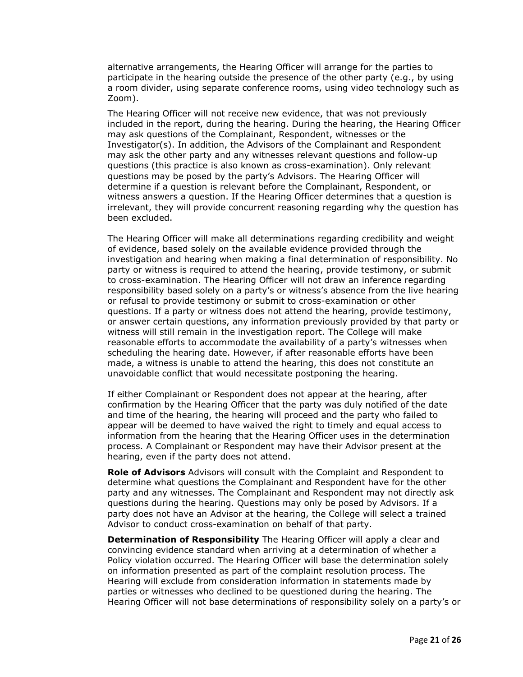alternative arrangements, the Hearing Officer will arrange for the parties to participate in the hearing outside the presence of the other party (e.g., by using a room divider, using separate conference rooms, using video technology such as Zoom).

 The Hearing Officer will not receive new evidence, that was not previously included in the report, during the hearing. During the hearing, the Hearing Officer may ask questions of the Complainant, Respondent, witnesses or the Investigator(s). In addition, the Advisors of the Complainant and Respondent may ask the other party and any witnesses relevant questions and follow-up questions (this practice is also known as cross-examination). Only relevant questions may be posed by the party's Advisors. The Hearing Officer will determine if a question is relevant before the Complainant, Respondent, or witness answers a question. If the Hearing Officer determines that a question is irrelevant, they will provide concurrent reasoning regarding why the question has been excluded.

been excluded.<br>The Hearing Officer will make all determinations regarding credibility and weight of evidence, based solely on the available evidence provided through the investigation and hearing when making a final determination of responsibility. No party or witness is required to attend the hearing, provide testimony, or submit to cross-examination. The Hearing Officer will not draw an inference regarding responsibility based solely on a party's or witness's absence from the live hearing or refusal to provide testimony or submit to cross-examination or other questions. If a party or witness does not attend the hearing, provide testimony, or answer certain questions, any information previously provided by that party or witness will still remain in the investigation report. The College will make reasonable efforts to accommodate the availability of a party's witnesses when scheduling the hearing date. However, if after reasonable efforts have been made, a witness is unable to attend the hearing, this does not constitute an unavoidable conflict that would necessitate postponing the hearing.

 If either Complainant or Respondent does not appear at the hearing, after confirmation by the Hearing Officer that the party was duly notified of the date and time of the hearing, the hearing will proceed and the party who failed to appear will be deemed to have waived the right to timely and equal access to information from the hearing that the Hearing Officer uses in the determination process. A Complainant or Respondent may have their Advisor present at the hearing, even if the party does not attend.

 **Role of Advisors** Advisors will consult with the Complaint and Respondent to determine what questions the Complainant and Respondent have for the other party and any witnesses. The Complainant and Respondent may not directly ask questions during the hearing. Questions may only be posed by Advisors. If a party does not have an Advisor at the hearing, the College will select a trained Advisor to conduct cross-examination on behalf of that party.

 **Determination of Responsibility** The Hearing Officer will apply a clear and convincing evidence standard when arriving at a determination of whether a Policy violation occurred. The Hearing Officer will base the determination solely on information presented as part of the complaint resolution process. The Hearing will exclude from consideration information in statements made by parties or witnesses who declined to be questioned during the hearing. The Hearing Officer will not base determinations of responsibility solely on a party's or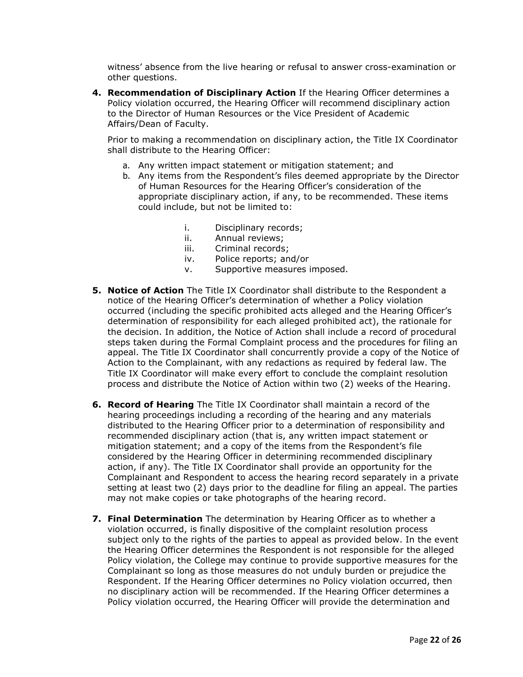witness' absence from the live hearing or refusal to answer cross-examination or other questions.

 **4. Recommendation of Disciplinary Action** If the Hearing Officer determines a Policy violation occurred, the Hearing Officer will recommend disciplinary action to the Director of Human Resources or the Vice President of Academic Affairs/Dean of Faculty.

 Prior to making a recommendation on disciplinary action, the Title IX Coordinator shall distribute to the Hearing Officer:

- a. Any written impact statement or mitigation statement; and
- b. Any items from the Respondent's files deemed appropriate by the Director of Human Resources for the Hearing Officer's consideration of the appropriate disciplinary action, if any, to be recommended. These items could include, but not be limited to:
	- i. Disciplinary records;
	- ii. Annual reviews;
	- iii. Criminal records;
	- iv. Police reports; and/or
	- v. Supportive measures imposed.
- **5. Notice of Action** The Title IX Coordinator shall distribute to the Respondent a notice of the Hearing Officer's determination of whether a Policy violation occurred (including the specific prohibited acts alleged and the Hearing Officer's determination of responsibility for each alleged prohibited act), the rationale for the decision. In addition, the Notice of Action shall include a record of procedural steps taken during the Formal Complaint process and the procedures for filing an appeal. The Title IX Coordinator shall concurrently provide a copy of the Notice of Action to the Complainant, with any redactions as required by federal law. The Title IX Coordinator will make every effort to conclude the complaint resolution process and distribute the Notice of Action within two (2) weeks of the Hearing.
- **6. Record of Hearing** The Title IX Coordinator shall maintain a record of the hearing proceedings including a recording of the hearing and any materials distributed to the Hearing Officer prior to a determination of responsibility and recommended disciplinary action (that is, any written impact statement or mitigation statement; and a copy of the items from the Respondent's file considered by the Hearing Officer in determining recommended disciplinary action, if any). The Title IX Coordinator shall provide an opportunity for the Complainant and Respondent to access the hearing record separately in a private setting at least two (2) days prior to the deadline for filing an appeal. The parties may not make copies or take photographs of the hearing record.
- **7. Final Determination** The determination by Hearing Officer as to whether a violation occurred, is finally dispositive of the complaint resolution process subject only to the rights of the parties to appeal as provided below. In the event the Hearing Officer determines the Respondent is not responsible for the alleged Policy violation, the College may continue to provide supportive measures for the Complainant so long as those measures do not unduly burden or prejudice the Respondent. If the Hearing Officer determines no Policy violation occurred, then no disciplinary action will be recommended. If the Hearing Officer determines a Policy violation occurred, the Hearing Officer will provide the determination and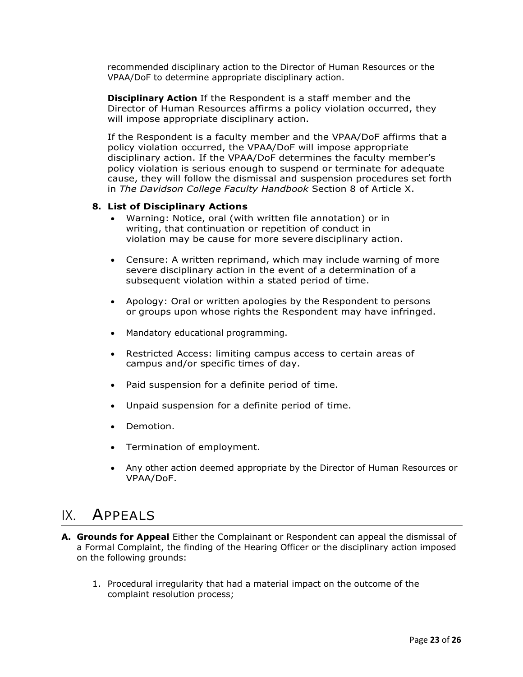recommended disciplinary action to the Director of Human Resources or the VPAA/DoF to determine appropriate disciplinary action.

 **Disciplinary Action** If the Respondent is a staff member and the Director of Human Resources affirms a policy violation occurred, they will impose appropriate disciplinary action.

 If the Respondent is a faculty member and the VPAA/DoF affirms that a policy violation occurred, the VPAA/DoF will impose appropriate policy violation is serious enough to suspend or terminate for adequate cause, they will follow the dismissal and suspension procedures set forth  in *The Davidson College Faculty Handbook* Section 8 of Article X. disciplinary action. If the VPAA/DoF determines the faculty member's

#### **8. List of Disciplinary Actions**

- • Warning: Notice, oral (with written file annotation) or in writing, that continuation or repetition of conduct in violation may be cause for more severe disciplinary action.
- • Censure: A written reprimand, which may include warning of more severe disciplinary action in the event of a determination of a subsequent violation within a stated period of time.
- • Apology: Oral or written apologies by the Respondent to persons or groups upon whose rights the Respondent may have infringed.
- Mandatory educational programming.
- • Restricted Access: limiting campus access to certain areas of campus and/or specific times of day.
- Paid suspension for a definite period of time.
- Unpaid suspension for a definite period of time.
- Demotion.
- Termination of employment.
- • Any other action deemed appropriate by the Director of Human Resources or VPAA/DoF.

### IX. APPEALS

- **A. Grounds for Appeal** Either the Complainant or Respondent can appeal the dismissal of a Formal Complaint, the finding of the Hearing Officer or the disciplinary action imposed on the following grounds:
	- 1. Procedural irregularity that had a material impact on the outcome of the complaint resolution process;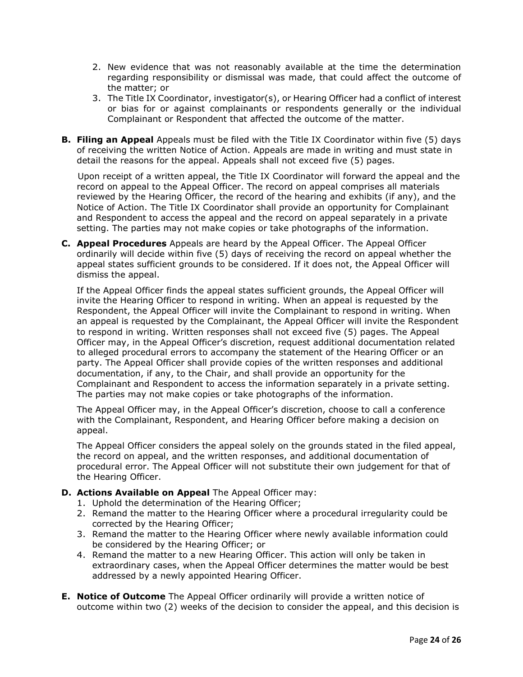- 2. New evidence that was not reasonably available at the time the determination the matter; or regarding responsibility or dismissal was made, that could affect the outcome of
- 3. The Title IX Coordinator, investigator(s), or Hearing Officer had a conflict of interest or bias for or against complainants or respondents generally or the individual Complainant or Respondent that affected the outcome of the matter.
- **B. Filing an Appeal** Appeals must be filed with the Title IX Coordinator within five (5) days of receiving the written Notice of Action. Appeals are made in writing and must state in detail the reasons for the appeal. Appeals shall not exceed five (5) pages.

 Upon receipt of a written appeal, the Title IX Coordinator will forward the appeal and the record on appeal to the Appeal Officer. The record on appeal comprises all materials reviewed by the Hearing Officer, the record of the hearing and exhibits (if any), and the Notice of Action. The Title IX Coordinator shall provide an opportunity for Complainant and Respondent to access the appeal and the record on appeal separately in a private setting. The parties may not make copies or take photographs of the information.

 **C. Appeal Procedures** Appeals are heard by the Appeal Officer. The Appeal Officer ordinarily will decide within five (5) days of receiving the record on appeal whether the appeal states sufficient grounds to be considered. If it does not, the Appeal Officer will dismiss the appeal.

 If the Appeal Officer finds the appeal states sufficient grounds, the Appeal Officer will invite the Hearing Officer to respond in writing. When an appeal is requested by the Respondent, the Appeal Officer will invite the Complainant to respond in writing. When an appeal is requested by the Complainant, the Appeal Officer will invite the Respondent to respond in writing. Written responses shall not exceed five (5) pages. The Appeal Officer may, in the Appeal Officer's discretion, request additional documentation related to alleged procedural errors to accompany the statement of the Hearing Officer or an party. The Appeal Officer shall provide copies of the written responses and additional documentation, if any, to the Chair, and shall provide an opportunity for the Complainant and Respondent to access the information separately in a private setting. The parties may not make copies or take photographs of the information.

 The Appeal Officer may, in the Appeal Officer's discretion, choose to call a conference with the Complainant, Respondent, and Hearing Officer before making a decision on appeal.

 The Appeal Officer considers the appeal solely on the grounds stated in the filed appeal, the record on appeal, and the written responses, and additional documentation of procedural error. The Appeal Officer will not substitute their own judgement for that of the Hearing Officer.

- **D. Actions Available on Appeal** The Appeal Officer may:
	- 1. Uphold the determination of the Hearing Officer;
	- 2. Remand the matter to the Hearing Officer where a procedural irregularity could be corrected by the Hearing Officer;
	- 3. Remand the matter to the Hearing Officer where newly available information could be considered by the Hearing Officer; or
	- 4. Remand the matter to a new Hearing Officer. This action will only be taken in extraordinary cases, when the Appeal Officer determines the matter would be best addressed by a newly appointed Hearing Officer.
- **E. Notice of Outcome** The Appeal Officer ordinarily will provide a written notice of outcome within two (2) weeks of the decision to consider the appeal, and this decision is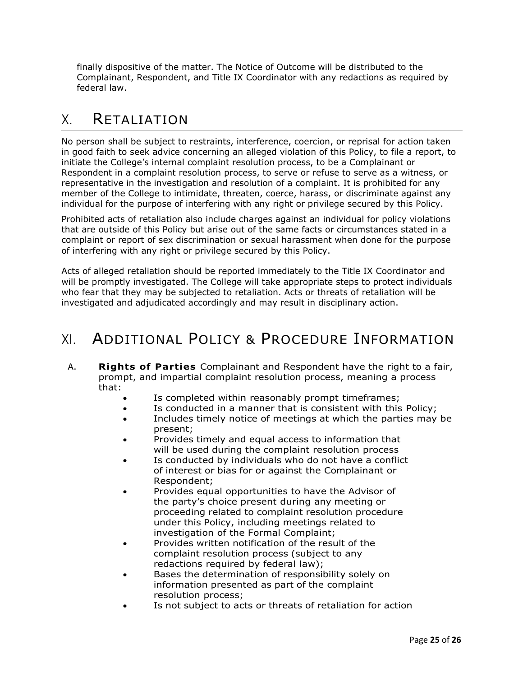finally dispositive of the matter. The Notice of Outcome will be distributed to the Complainant, Respondent, and Title IX Coordinator with any redactions as required by federal law.

### X. RETALIATION

 No person shall be subject to restraints, interference, coercion, or reprisal for action taken in good faith to seek advice concerning an alleged violation of this Policy, to file a report, to initiate the College's internal complaint resolution process, to be a Complainant or Respondent in a complaint resolution process, to serve or refuse to serve as a witness, or representative in the investigation and resolution of a complaint. It is prohibited for any member of the College to intimidate, threaten, coerce, harass, or discriminate against any individual for the purpose of interfering with any right or privilege secured by this Policy.

 Prohibited acts of retaliation also include charges against an individual for policy violations that are outside of this Policy but arise out of the same facts or circumstances stated in a complaint or report of sex discrimination or sexual harassment when done for the purpose of interfering with any right or privilege secured by this Policy.

 Acts of alleged retaliation should be reported immediately to the Title IX Coordinator and will be promptly investigated. The College will take appropriate steps to protect individuals who fear that they may be subjected to retaliation. Acts or threats of retaliation will be investigated and adjudicated accordingly and may result in disciplinary action.

# XI. ADDITIONAL POLICY & PROCEDURE INFORMATION

- A. **Rights of Parties** Complainant and Respondent have the right to a fair, prompt, and impartial complaint resolution process, meaning a process that:
	- Is completed within reasonably prompt timeframes;
	- Is conducted in a manner that is consistent with this Policy;
	- • Includes timely notice of meetings at which the parties may be present;
	- • Provides timely and equal access to information that will be used during the complaint resolution process
	- • Is conducted by individuals who do not have a conflict of interest or bias for or against the Complainant or Respondent;
	- the party's choice present during any meeting or proceeding related to complaint resolution procedure under this Policy, including meetings related to investigation of the Formal Complaint; • Provides equal opportunities to have the Advisor of
	- • Provides written notification of the result of the complaint resolution process (subject to any redactions required by federal law);
	- • Bases the determination of responsibility solely on information presented as part of the complaint resolution process;
	- Is not subject to acts or threats of retaliation for action